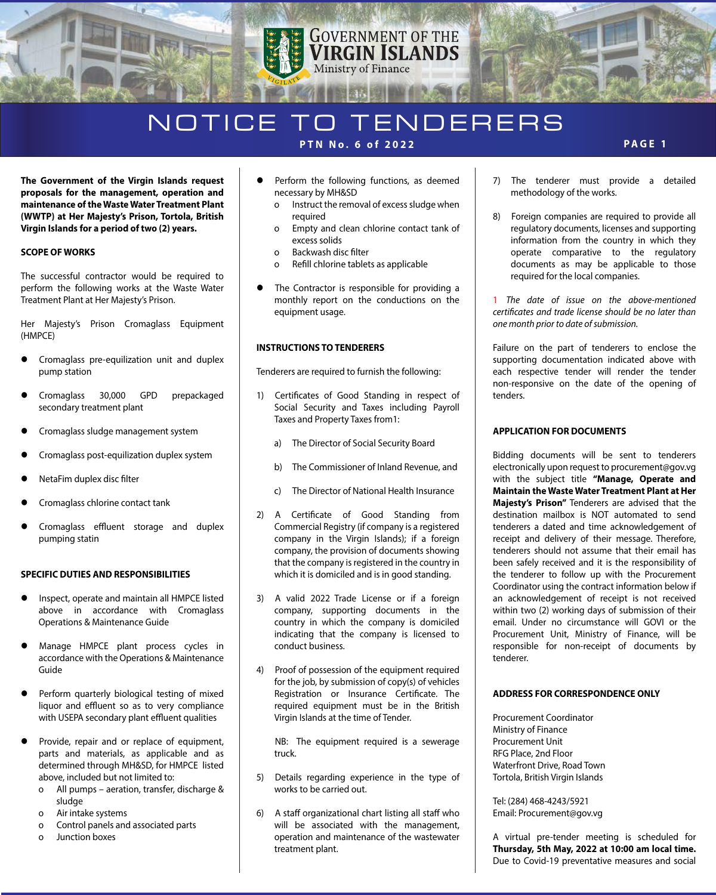

# NOTICE TO TENDERERS **PTN No. 6 of 2022 PAGE 1**

**The Government of the Virgin Islands request proposals for the management, operation and maintenance of the Waste Water Treatment Plant (WWTP) at Her Majesty's Prison, Tortola, British Virgin Islands for a period of two (2) years.**

### **SCOPE OF WORKS**

The successful contractor would be required to perform the following works at the Waste Water Treatment Plant at Her Majesty's Prison.

Her Majesty's Prison Cromaglass Equipment (HMPCE)

- Cromaglass pre-equilization unit and duplex pump station
- Cromaglass 30,000 GPD prepackaged secondary treatment plant
- Cromaglass sludge management system
- Cromaglass post-equilization duplex system
- NetaFim duplex disc filter
- Cromaglass chlorine contact tank
- Cromaglass effluent storage and duplex pumping statin

#### **SPECIFIC DUTIES AND RESPONSIBILITIES**

- Inspect, operate and maintain all HMPCE listed above in accordance with Cromaglass Operations & Maintenance Guide
- Manage HMPCE plant process cycles in accordance with the Operations & Maintenance Guide
- Perform quarterly biological testing of mixed liquor and effluent so as to very compliance with USEPA secondary plant effluent qualities
- Provide, repair and or replace of equipment, parts and materials, as applicable and as determined through MH&SD, for HMPCE listed above, included but not limited to:
	- o All pumps aeration, transfer, discharge & sludge
	- o Air intake systems
	- o Control panels and associated parts
	- o Junction boxes
- **•** Perform the following functions, as deemed necessary by MH&SD
	- o Instruct the removal of excess sludge when required
	- o Empty and clean chlorine contact tank of excess solids
	- o Backwash disc filter
	- o Refill chlorine tablets as applicable
- The Contractor is responsible for providing a monthly report on the conductions on the equipment usage.

#### **INSTRUCTIONS TO TENDERERS**

Tenderers are required to furnish the following:

- 1) Certificates of Good Standing in respect of Social Security and Taxes including Payroll Taxes and Property Taxes from1:
	- a) The Director of Social Security Board
	- b) The Commissioner of Inland Revenue, and
	- c) The Director of National Health Insurance
- 2) A Certificate of Good Standing from Commercial Registry (if company is a registered company in the Virgin Islands); if a foreign company, the provision of documents showing that the company is registered in the country in which it is domiciled and is in good standing.
- 3) A valid 2022 Trade License or if a foreign company, supporting documents in the country in which the company is domiciled indicating that the company is licensed to conduct business.
- 4) Proof of possession of the equipment required for the job, by submission of copy(s) of vehicles Registration or Insurance Certificate. The required equipment must be in the British Virgin Islands at the time of Tender.

 NB: The equipment required is a sewerage truck.

- 5) Details regarding experience in the type of works to be carried out.
- 6) A staff organizational chart listing all staff who will be associated with the management, operation and maintenance of the wastewater treatment plant.
- 7) The tenderer must provide a detailed methodology of the works.
- 8) Foreign companies are required to provide all regulatory documents, licenses and supporting information from the country in which they operate comparative to the regulatory documents as may be applicable to those required for the local companies.

1 *The date of issue on the above-mentioned certicates and trade license should be no later than one month prior to date of submission.*

Failure on the part of tenderers to enclose the supporting documentation indicated above with each respective tender will render the tender non-responsive on the date of the opening of tenders.

#### **APPLICATION FOR DOCUMENTS**

Bidding documents will be sent to tenderers electronically upon request to procurement@gov.vg with the subject title **"Manage, Operate and Maintain the Waste Water Treatment Plant at Her Majesty's Prison"** Tenderers are advised that the destination mailbox is NOT automated to send tenderers a dated and time acknowledgement of receipt and delivery of their message. Therefore, tenderers should not assume that their email has been safely received and it is the responsibility of the tenderer to follow up with the Procurement Coordinator using the contract information below if an acknowledgement of receipt is not received within two (2) working days of submission of their email. Under no circumstance will GOVI or the Procurement Unit, Ministry of Finance, will be responsible for non-receipt of documents by tenderer.

### **ADDRESS FOR CORRESPONDENCE ONLY**

Procurement Coordinator Ministry of Finance Procurement Unit RFG Place, 2nd Floor Waterfront Drive, Road Town Tortola, British Virgin Islands

Tel: (284) 468-4243/5921 Email: Procurement@gov.vg

A virtual pre-tender meeting is scheduled for **Thursday, 5th May, 2022 at 10:00 am local time.** Due to Covid-19 preventative measures and social